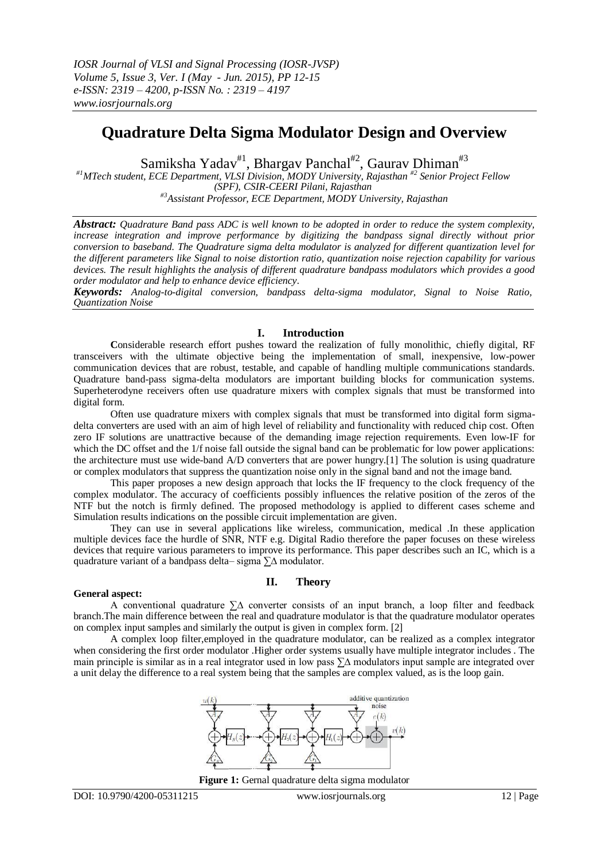# **Quadrature Delta Sigma Modulator Design and Overview**

Samiksha Yadav<sup>#1</sup>, Bhargav Panchal<sup>#2</sup>, Gaurav Dhiman<sup>#3</sup>

*#1MTech student, ECE Department, VLSI Division, MODY University, Rajasthan #2 Senior Project Fellow (SPF), CSIR-CEERI Pilani, Rajasthan #3Assistant Professor, ECE Department, MODY University, Rajasthan*

*Abstract: Quadrature Band pass ADC is well known to be adopted in order to reduce the system complexity, increase integration and improve performance by digitizing the bandpass signal directly without prior conversion to baseband. The Quadrature sigma delta modulator is analyzed for different quantization level for the different parameters like Signal to noise distortion ratio, quantization noise rejection capability for various devices. The result highlights the analysis of different quadrature bandpass modulators which provides a good order modulator and help to enhance device efficiency.*

*Keywords: Analog-to-digital conversion, bandpass delta-sigma modulator, Signal to Noise Ratio, Quantization Noise*

## **I. Introduction**

**C**onsiderable research effort pushes toward the realization of fully monolithic, chiefly digital, RF transceivers with the ultimate objective being the implementation of small, inexpensive, low-power communication devices that are robust, testable, and capable of handling multiple communications standards. Quadrature band-pass sigma-delta modulators are important building blocks for communication systems. Superheterodyne receivers often use quadrature mixers with complex signals that must be transformed into digital form.

Often use quadrature mixers with complex signals that must be transformed into digital form sigmadelta converters are used with an aim of high level of reliability and functionality with reduced chip cost. Often zero IF solutions are unattractive because of the demanding image rejection requirements. Even low-IF for which the DC offset and the 1/f noise fall outside the signal band can be problematic for low power applications: the architecture must use wide-band A/D converters that are power hungry.[1] The solution is using quadrature or complex modulators that suppress the quantization noise only in the signal band and not the image band.

This paper proposes a new design approach that locks the IF frequency to the clock frequency of the complex modulator. The accuracy of coefficients possibly influences the relative position of the zeros of the NTF but the notch is firmly defined. The proposed methodology is applied to different cases scheme and Simulation results indications on the possible circuit implementation are given.

They can use in several applications like wireless, communication, medical .In these application multiple devices face the hurdle of SNR, NTF e.g. Digital Radio therefore the paper focuses on these wireless devices that require various parameters to improve its performance. This paper describes such an IC, which is a quadrature variant of a bandpass delta– sigma ∑∆ modulator.

#### **General aspect:**

## **II. Theory**

A conventional quadrature ∑∆ converter consists of an input branch, a loop filter and feedback branch.The main difference between the real and quadrature modulator is that the quadrature modulator operates on complex input samples and similarly the output is given in complex form. [2]

A complex loop filter,employed in the quadrature modulator, can be realized as a complex integrator when considering the first order modulator .Higher order systems usually have multiple integrator includes . The main principle is similar as in a real integrator used in low pass ∑∆ modulators input sample are integrated over a unit delay the difference to a real system being that the samples are complex valued, as is the loop gain.



**Figure 1:** Gernal quadrature delta sigma modulator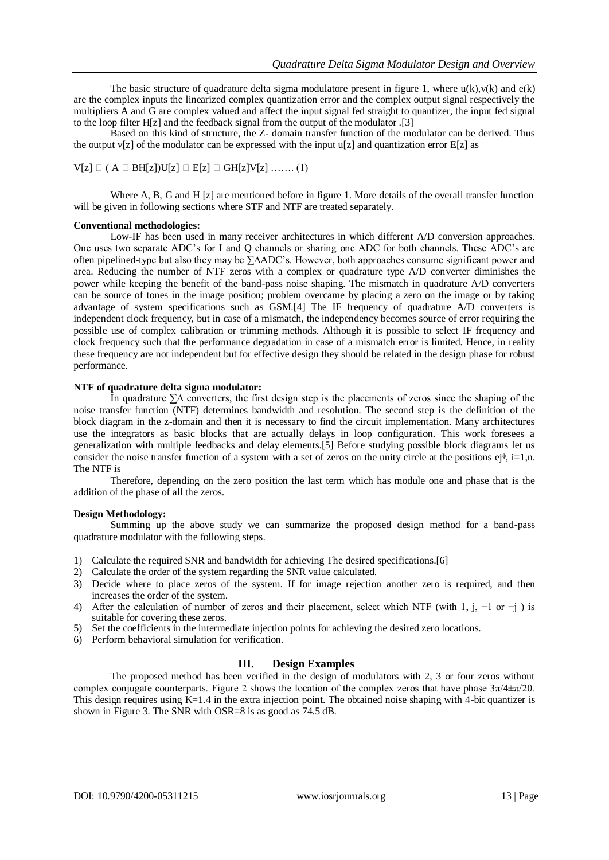The basic structure of quadrature delta sigma modulatore present in figure 1, where  $u(k)$ , $v(k)$  and  $e(k)$ are the complex inputs the linearized complex quantization error and the complex output signal respectively the multipliers A and G are complex valued and affect the input signal fed straight to quantizer, the input fed signal to the loop filter H[z] and the feedback signal from the output of the modulator .[3]

Based on this kind of structure, the Z- domain transfer function of the modulator can be derived. Thus the output  $v[z]$  of the modulator can be expressed with the input  $u[z]$  and quantization error  $E[z]$  as

```
V[z] \square ( A \square BH[z])U[z] \square E[z] \square GH[z]V[z] \dots (1)
```
Where A, B, G and H [z] are mentioned before in figure 1. More details of the overall transfer function will be given in following sections where STF and NTF are treated separately.

## **Conventional methodologies:**

Low-IF has been used in many receiver architectures in which different A/D conversion approaches. One uses two separate ADC's for I and Q channels or sharing one ADC for both channels. These ADC's are often pipelined-type but also they may be ∑∆ADC's. However, both approaches consume significant power and area. Reducing the number of NTF zeros with a complex or quadrature type A/D converter diminishes the power while keeping the benefit of the band-pass noise shaping. The mismatch in quadrature A/D converters can be source of tones in the image position; problem overcame by placing a zero on the image or by taking advantage of system specifications such as GSM.[4] The IF frequency of quadrature A/D converters is independent clock frequency, but in case of a mismatch, the independency becomes source of error requiring the possible use of complex calibration or trimming methods. Although it is possible to select IF frequency and clock frequency such that the performance degradation in case of a mismatch error is limited. Hence, in reality these frequency are not independent but for effective design they should be related in the design phase for robust performance.

## **NTF of quadrature delta sigma modulator:**

In quadrature ∑∆ converters, the first design step is the placements of zeros since the shaping of the noise transfer function (NTF) determines bandwidth and resolution. The second step is the definition of the block diagram in the z-domain and then it is necessary to find the circuit implementation. Many architectures use the integrators as basic blocks that are actually delays in loop configuration. This work foresees a generalization with multiple feedbacks and delay elements.[5] Before studying possible block diagrams let us consider the noise transfer function of a system with a set of zeros on the unity circle at the positions  $e^{\mathrm{i}\phi}$ , i=1,n. The NTF is

Therefore, depending on the zero position the last term which has module one and phase that is the addition of the phase of all the zeros.

## **Design Methodology:**

Summing up the above study we can summarize the proposed design method for a band-pass quadrature modulator with the following steps.

- 1) Calculate the required SNR and bandwidth for achieving The desired specifications.[6]
- 2) Calculate the order of the system regarding the SNR value calculated.
- 3) Decide where to place zeros of the system. If for image rejection another zero is required, and then increases the order of the system.
- 4) After the calculation of number of zeros and their placement, select which NTF (with 1, j, −1 or −j ) is suitable for covering these zeros.
- 5) Set the coefficients in the intermediate injection points for achieving the desired zero locations.
- 6) Perform behavioral simulation for verification.

## **III. Design Examples**

The proposed method has been verified in the design of modulators with 2, 3 or four zeros without complex conjugate counterparts. Figure 2 shows the location of the complex zeros that have phase  $3\pi/4\pm\pi/20$ . This design requires using  $K=1.4$  in the extra injection point. The obtained noise shaping with 4-bit quantizer is shown in Figure 3. The SNR with OSR=8 is as good as 74.5 dB.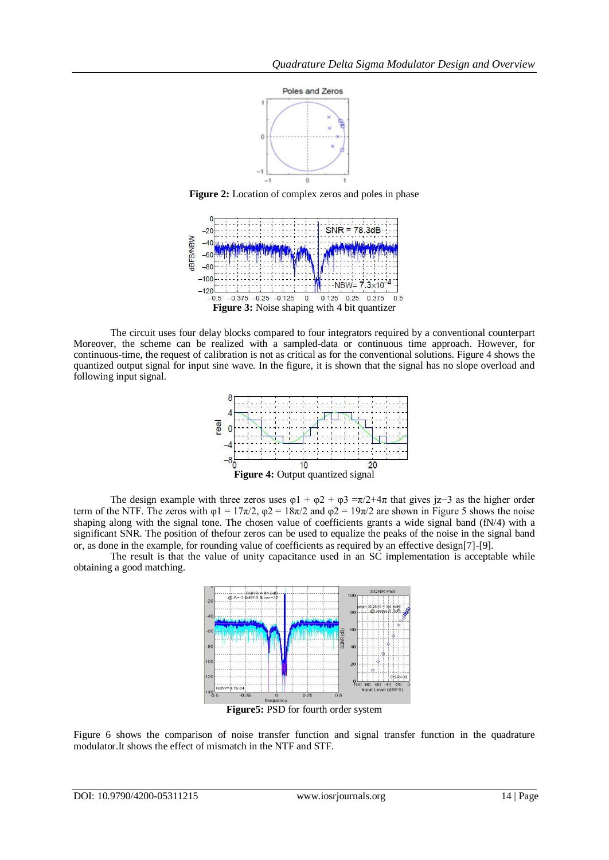

**Figure 2:** Location of complex zeros and poles in phase



The circuit uses four delay blocks compared to four integrators required by a conventional counterpart Moreover, the scheme can be realized with a sampled-data or continuous time approach. However, for continuous-time, the request of calibration is not as critical as for the conventional solutions. Figure 4 shows the quantized output signal for input sine wave. In the figure, it is shown that the signal has no slope overload and following input signal.



The design example with three zeros uses  $\varphi$ 1 +  $\varphi$ 2 +  $\varphi$ 3 =π/2+4π that gives jz−3 as the higher order term of the NTF. The zeros with  $\varphi$ 1 = 17π/2,  $\varphi$ 2 = 18π/2 and  $\varphi$ 2 = 19π/2 are shown in Figure 5 shows the noise shaping along with the signal tone. The chosen value of coefficients grants a wide signal band (fN/4) with a significant SNR. The position of thefour zeros can be used to equalize the peaks of the noise in the signal band or, as done in the example, for rounding value of coefficients as required by an effective design[7]-[9].

The result is that the value of unity capacitance used in an SC implementation is acceptable while obtaining a good matching.



**Figure5:** PSD for fourth order system

Figure 6 shows the comparison of noise transfer function and signal transfer function in the quadrature modulator.It shows the effect of mismatch in the NTF and STF.